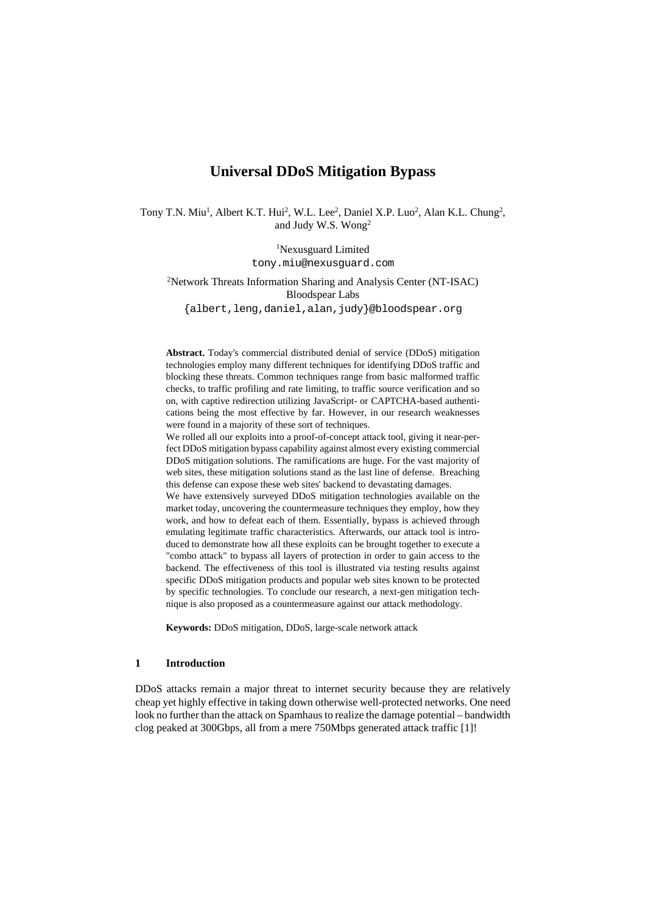# **Universal DDoS Mitigation Bypass**

Tony T.N. Miu<sup>1</sup>, Albert K.T. Hui<sup>2</sup>, W.L. Lee<sup>2</sup>, Daniel X.P. Luo<sup>2</sup>, Alan K.L. Chung<sup>2</sup>, and Judy W.S. Wong2

> 1 Nexusguard Limited tony.miu@nexusguard.com

2 Network Threats Information Sharing and Analysis Center (NT-ISAC) Bloodspear Labs

{albert,leng,daniel,alan,judy}@bloodspear.org

**Abstract.** Today's commercial distributed denial of service (DDoS) mitigation technologies employ many different techniques for identifying DDoS traffic and blocking these threats. Common techniques range from basic malformed traffic checks, to traffic profiling and rate limiting, to traffic source verification and so on, with captive redirection utilizing JavaScript- or CAPTCHA-based authentications being the most effective by far. However, in our research weaknesses were found in a majority of these sort of techniques.

We rolled all our exploits into a proof-of-concept attack tool, giving it near-perfect DDoS mitigation bypass capability against almost every existing commercial DDoS mitigation solutions. The ramifications are huge. For the vast majority of web sites, these mitigation solutions stand as the last line of defense. Breaching this defense can expose these web sites' backend to devastating damages.

We have extensively surveyed DDoS mitigation technologies available on the market today, uncovering the countermeasure techniques they employ, how they work, and how to defeat each of them. Essentially, bypass is achieved through emulating legitimate traffic characteristics. Afterwards, our attack tool is introduced to demonstrate how all these exploits can be brought together to execute a "combo attack" to bypass all layers of protection in order to gain access to the backend. The effectiveness of this tool is illustrated via testing results against specific DDoS mitigation products and popular web sites known to be protected by specific technologies. To conclude our research, a next-gen mitigation technique is also proposed as a countermeasure against our attack methodology.

**Keywords:** DDoS mitigation, DDoS, large-scale network attack

# **1 Introduction**

DDoS attacks remain a major threat to internet security because they are relatively cheap yet highly effective in taking down otherwise well-protected networks. One need look no further than the attack on Spamhaus to realize the damage potential – bandwidth clog peaked at 300Gbps, all from a mere 750Mbps generated attack traffic [1]!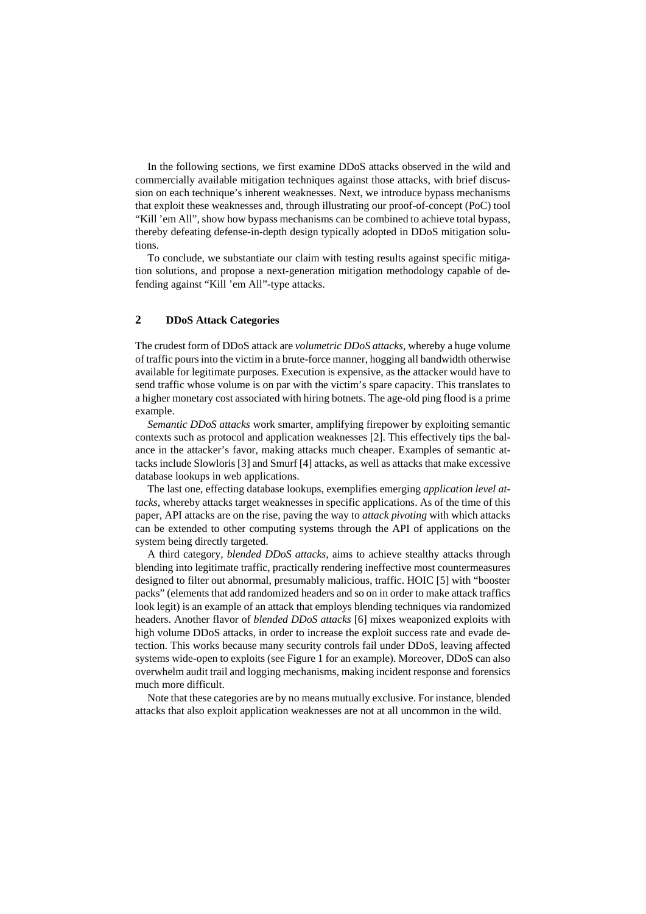In the following sections, we first examine DDoS attacks observed in the wild and commercially available mitigation techniques against those attacks, with brief discussion on each technique's inherent weaknesses. Next, we introduce bypass mechanisms that exploit these weaknesses and, through illustrating our proof-of-concept (PoC) tool "Kill 'em All", show how bypass mechanisms can be combined to achieve total bypass, thereby defeating defense-in-depth design typically adopted in DDoS mitigation solutions.

To conclude, we substantiate our claim with testing results against specific mitigation solutions, and propose a next-generation mitigation methodology capable of defending against "Kill 'em All"-type attacks.

# **2 DDoS Attack Categories**

The crudest form of DDoS attack are *volumetric DDoS attacks*, whereby a huge volume of traffic pours into the victim in a brute-force manner, hogging all bandwidth otherwise available for legitimate purposes. Execution is expensive, as the attacker would have to send traffic whose volume is on par with the victim's spare capacity. This translates to a higher monetary cost associated with hiring botnets. The age-old ping flood is a prime example.

*Semantic DDoS attacks* work smarter, amplifying firepower by exploiting semantic contexts such as protocol and application weaknesses [2]. This effectively tips the balance in the attacker's favor, making attacks much cheaper. Examples of semantic attacks include Slowloris [3] and Smurf [4] attacks, as well as attacks that make excessive database lookups in web applications.

The last one, effecting database lookups, exemplifies emerging *application level attacks*, whereby attacks target weaknesses in specific applications. As of the time of this paper, API attacks are on the rise, paving the way to *attack pivoting* with which attacks can be extended to other computing systems through the API of applications on the system being directly targeted.

A third category, *blended DDoS attacks*, aims to achieve stealthy attacks through blending into legitimate traffic, practically rendering ineffective most countermeasures designed to filter out abnormal, presumably malicious, traffic. HOIC [5] with "booster packs" (elements that add randomized headers and so on in order to make attack traffics look legit) is an example of an attack that employs blending techniques via randomized headers. Another flavor of *blended DDoS attacks* [6] mixes weaponized exploits with high volume DDoS attacks, in order to increase the exploit success rate and evade detection. This works because many security controls fail under DDoS, leaving affected systems wide-open to exploits (see [Figure 1](#page-2-0) for an example). Moreover, DDoS can also overwhelm audit trail and logging mechanisms, making incident response and forensics much more difficult.

Note that these categories are by no means mutually exclusive. For instance, blended attacks that also exploit application weaknesses are not at all uncommon in the wild.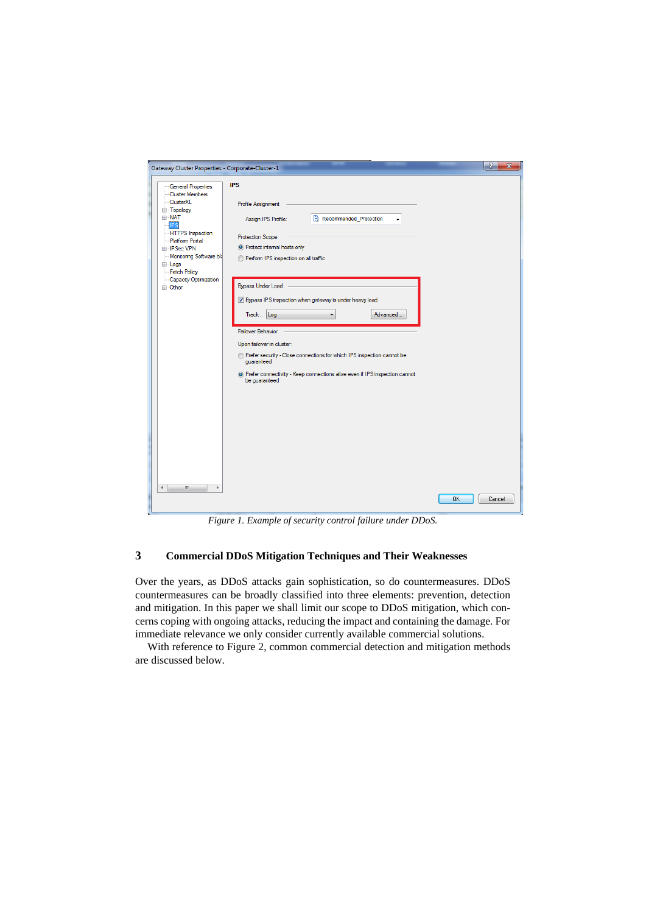| Gateway Cluster Properties - Corporate-Cluster-1                                                                                                                                                                                                                            |                                                                                                                                                                                                                                                                                                                                                                                                                                                                                                                                                                                         | $\mathcal{P}$<br>$\mathbf{x}$ |
|-----------------------------------------------------------------------------------------------------------------------------------------------------------------------------------------------------------------------------------------------------------------------------|-----------------------------------------------------------------------------------------------------------------------------------------------------------------------------------------------------------------------------------------------------------------------------------------------------------------------------------------------------------------------------------------------------------------------------------------------------------------------------------------------------------------------------------------------------------------------------------------|-------------------------------|
| <b>General Properties</b><br><b>Cluster Members</b><br>-ClusterXL<br>由 Topology<br><b>EI NAT</b><br><b>IPS</b><br>- HTTPS Inspection<br>Platform Portal<br><b>E</b> -IPSec VPN<br>- Monitoring Software bla<br>E Logs<br>- Fetch Policy<br>Capacity Optimization<br>面·Other | <b>IPS</b><br>Profile Assignment<br>Recommended Protection<br>Assign IPS Profile:<br><b>Protection Scope</b><br><sup>O</sup> Protect internal hosts only<br>Perform IPS inspection on all traffic<br><b>Bypass Under Load</b><br>V Bypass IPS inspection when gateway is under heavy load<br>Track: Log<br>Advanced<br>▼<br><b>Failover Behavior</b><br>Upon failover in cluster:<br>@ Prefer security - Close connections for which IPS inspection cannot be<br>quaranteed<br><sup>O</sup> Prefer connectivity - Keep connections alive even if IPS inspection cannot<br>be quaranteed |                               |
| m.<br>$\blacktriangleleft$                                                                                                                                                                                                                                                  |                                                                                                                                                                                                                                                                                                                                                                                                                                                                                                                                                                                         | <b>OK</b><br>Cancel           |

*Figure 1. Example of security control failure under DDoS.*

# <span id="page-2-0"></span>**3 Commercial DDoS Mitigation Techniques and Their Weaknesses**

Over the years, as DDoS attacks gain sophistication, so do countermeasures. DDoS countermeasures can be broadly classified into three elements: prevention, detection and mitigation. In this paper we shall limit our scope to DDoS mitigation, which concerns coping with ongoing attacks, reducing the impact and containing the damage. For immediate relevance we only consider currently available commercial solutions.

With reference to [Figure 2,](#page-3-0) common commercial detection and mitigation methods are discussed below.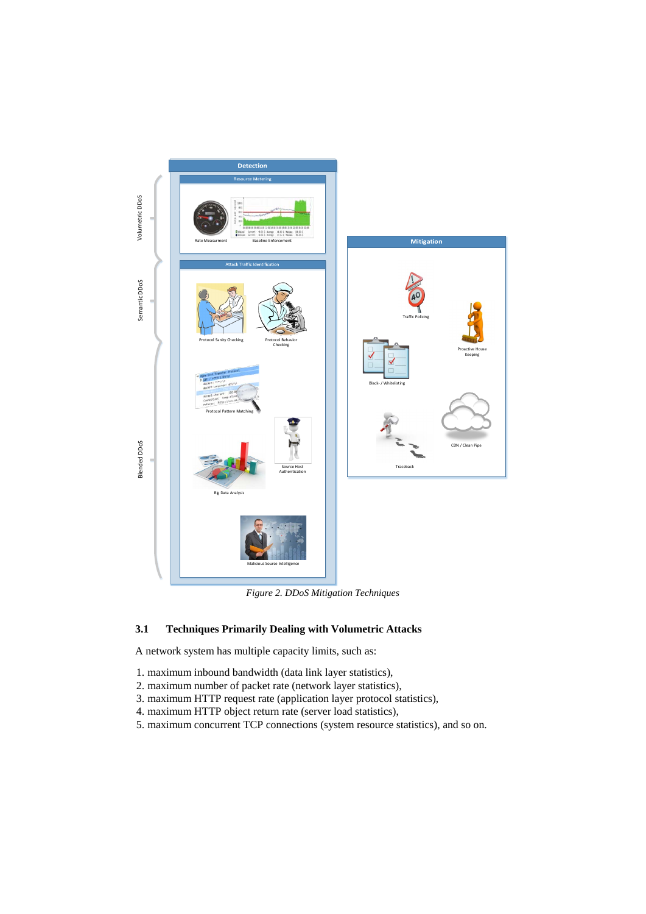

*Figure 2. DDoS Mitigation Techniques*

# <span id="page-3-0"></span>**3.1 Techniques Primarily Dealing with Volumetric Attacks**

A network system has multiple capacity limits, such as:

- 1. maximum inbound bandwidth (data link layer statistics),
- 2. maximum number of packet rate (network layer statistics),
- 3. maximum HTTP request rate (application layer protocol statistics),
- 4. maximum HTTP object return rate (server load statistics),
- 5. maximum concurrent TCP connections (system resource statistics), and so on.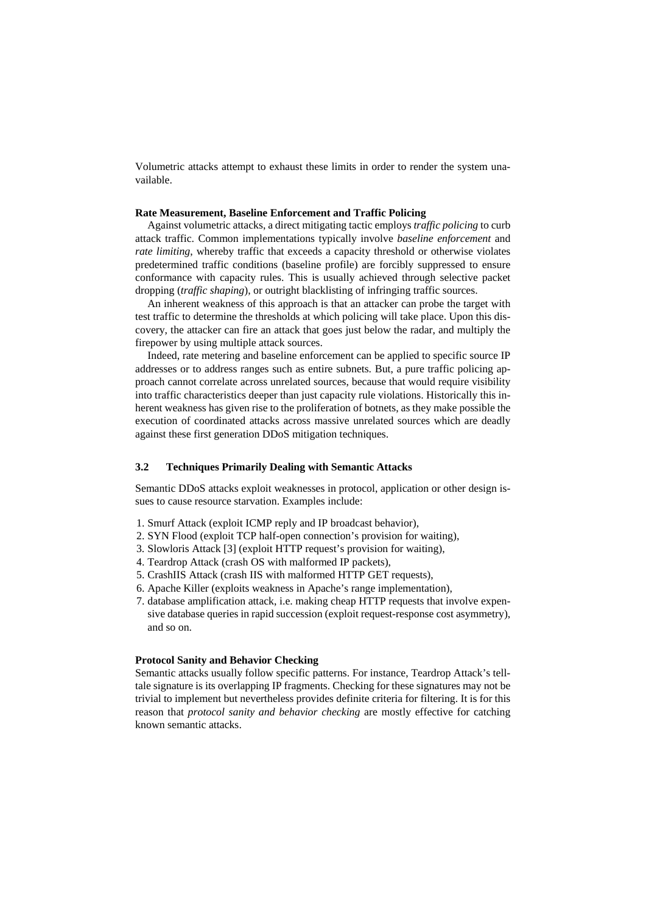Volumetric attacks attempt to exhaust these limits in order to render the system unavailable.

## **Rate Measurement, Baseline Enforcement and Traffic Policing**

Against volumetric attacks, a direct mitigating tactic employs *traffic policing* to curb attack traffic. Common implementations typically involve *baseline enforcement* and *rate limiting*, whereby traffic that exceeds a capacity threshold or otherwise violates predetermined traffic conditions (baseline profile) are forcibly suppressed to ensure conformance with capacity rules. This is usually achieved through selective packet dropping (*traffic shaping*), or outright blacklisting of infringing traffic sources.

An inherent weakness of this approach is that an attacker can probe the target with test traffic to determine the thresholds at which policing will take place. Upon this discovery, the attacker can fire an attack that goes just below the radar, and multiply the firepower by using multiple attack sources.

Indeed, rate metering and baseline enforcement can be applied to specific source IP addresses or to address ranges such as entire subnets. But, a pure traffic policing approach cannot correlate across unrelated sources, because that would require visibility into traffic characteristics deeper than just capacity rule violations. Historically this inherent weakness has given rise to the proliferation of botnets, as they make possible the execution of coordinated attacks across massive unrelated sources which are deadly against these first generation DDoS mitigation techniques.

## **3.2 Techniques Primarily Dealing with Semantic Attacks**

Semantic DDoS attacks exploit weaknesses in protocol, application or other design issues to cause resource starvation. Examples include:

- 1. Smurf Attack (exploit ICMP reply and IP broadcast behavior),
- 2. SYN Flood (exploit TCP half-open connection's provision for waiting),
- 3. Slowloris Attack [3] (exploit HTTP request's provision for waiting),
- 4. Teardrop Attack (crash OS with malformed IP packets),
- 5. CrashIIS Attack (crash IIS with malformed HTTP GET requests),
- 6. Apache Killer (exploits weakness in Apache's range implementation),
- 7. database amplification attack, i.e. making cheap HTTP requests that involve expensive database queries in rapid succession (exploit request-response cost asymmetry), and so on.

### **Protocol Sanity and Behavior Checking**

Semantic attacks usually follow specific patterns. For instance, Teardrop Attack's telltale signature is its overlapping IP fragments. Checking for these signatures may not be trivial to implement but nevertheless provides definite criteria for filtering. It is for this reason that *protocol sanity and behavior checking* are mostly effective for catching known semantic attacks.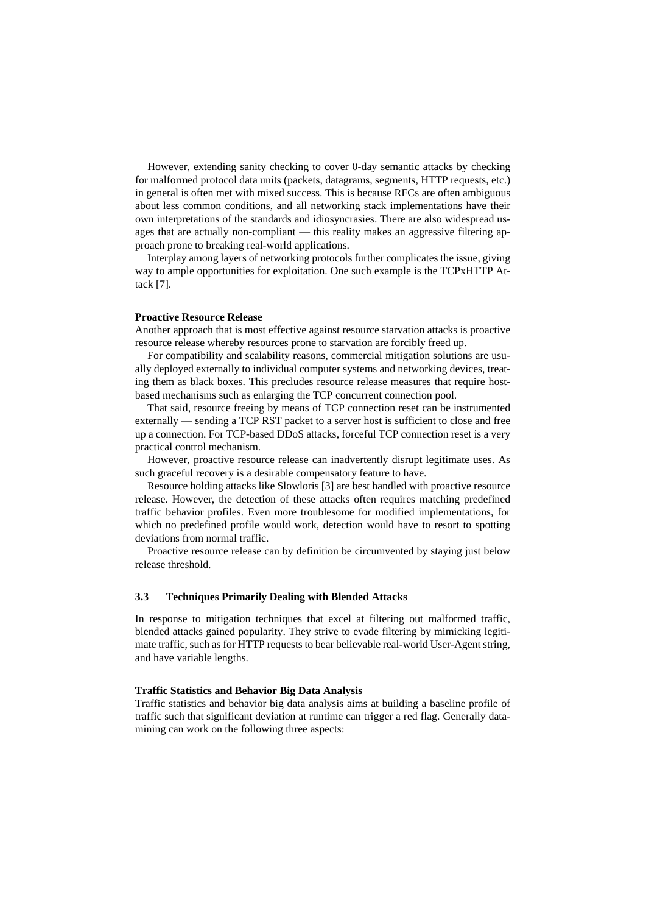However, extending sanity checking to cover 0-day semantic attacks by checking for malformed protocol data units (packets, datagrams, segments, HTTP requests, etc.) in general is often met with mixed success. This is because RFCs are often ambiguous about less common conditions, and all networking stack implementations have their own interpretations of the standards and idiosyncrasies. There are also widespread usages that are actually non-compliant — this reality makes an aggressive filtering approach prone to breaking real-world applications.

Interplay among layers of networking protocols further complicates the issue, giving way to ample opportunities for exploitation. One such example is the TCPxHTTP Attack [7].

### **Proactive Resource Release**

Another approach that is most effective against resource starvation attacks is proactive resource release whereby resources prone to starvation are forcibly freed up.

For compatibility and scalability reasons, commercial mitigation solutions are usually deployed externally to individual computer systems and networking devices, treating them as black boxes. This precludes resource release measures that require hostbased mechanisms such as enlarging the TCP concurrent connection pool.

That said, resource freeing by means of TCP connection reset can be instrumented externally — sending a TCP RST packet to a server host is sufficient to close and free up a connection. For TCP-based DDoS attacks, forceful TCP connection reset is a very practical control mechanism.

However, proactive resource release can inadvertently disrupt legitimate uses. As such graceful recovery is a desirable compensatory feature to have.

Resource holding attacks like Slowloris [3] are best handled with proactive resource release. However, the detection of these attacks often requires matching predefined traffic behavior profiles. Even more troublesome for modified implementations, for which no predefined profile would work, detection would have to resort to spotting deviations from normal traffic.

Proactive resource release can by definition be circumvented by staying just below release threshold.

# **3.3 Techniques Primarily Dealing with Blended Attacks**

In response to mitigation techniques that excel at filtering out malformed traffic, blended attacks gained popularity. They strive to evade filtering by mimicking legitimate traffic, such as for HTTP requests to bear believable real-world User-Agent string, and have variable lengths.

#### **Traffic Statistics and Behavior Big Data Analysis**

Traffic statistics and behavior big data analysis aims at building a baseline profile of traffic such that significant deviation at runtime can trigger a red flag. Generally datamining can work on the following three aspects: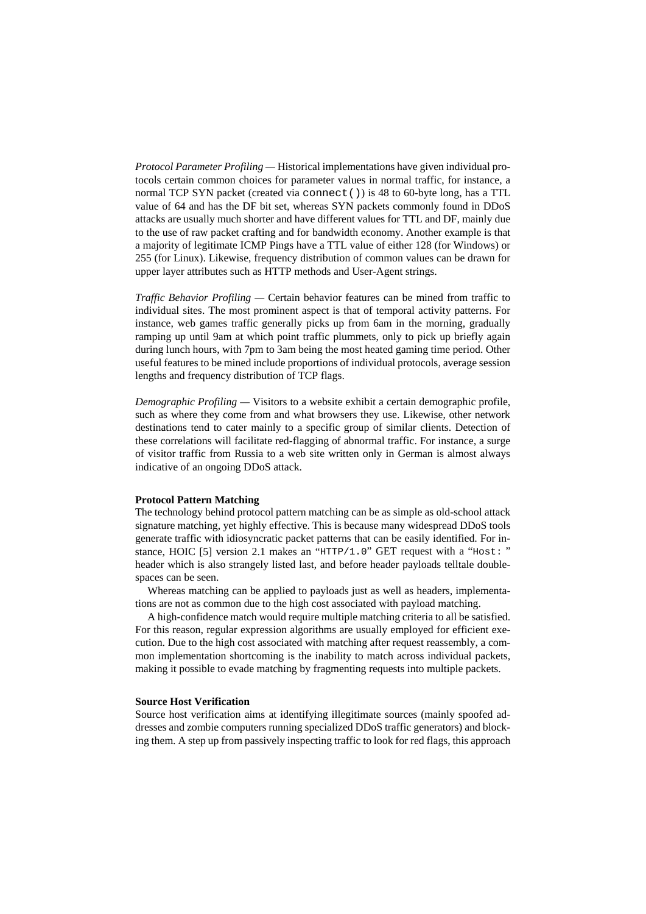*Protocol Parameter Profiling —* Historical implementations have given individual protocols certain common choices for parameter values in normal traffic, for instance, a normal TCP SYN packet (created via connect()) is 48 to 60-byte long, has a TTL value of 64 and has the DF bit set, whereas SYN packets commonly found in DDoS attacks are usually much shorter and have different values for TTL and DF, mainly due to the use of raw packet crafting and for bandwidth economy. Another example is that a majority of legitimate ICMP Pings have a TTL value of either 128 (for Windows) or 255 (for Linux). Likewise, frequency distribution of common values can be drawn for upper layer attributes such as HTTP methods and User-Agent strings.

*Traffic Behavior Profiling —* Certain behavior features can be mined from traffic to individual sites. The most prominent aspect is that of temporal activity patterns. For instance, web games traffic generally picks up from 6am in the morning, gradually ramping up until 9am at which point traffic plummets, only to pick up briefly again during lunch hours, with 7pm to 3am being the most heated gaming time period. Other useful features to be mined include proportions of individual protocols, average session lengths and frequency distribution of TCP flags.

*Demographic Profiling* — Visitors to a website exhibit a certain demographic profile, such as where they come from and what browsers they use. Likewise, other network destinations tend to cater mainly to a specific group of similar clients. Detection of these correlations will facilitate red-flagging of abnormal traffic. For instance, a surge of visitor traffic from Russia to a web site written only in German is almost always indicative of an ongoing DDoS attack.

### **Protocol Pattern Matching**

The technology behind protocol pattern matching can be as simple as old-school attack signature matching, yet highly effective. This is because many widespread DDoS tools generate traffic with idiosyncratic packet patterns that can be easily identified. For instance, HOIC [5] version 2.1 makes an "HTTP/1.0" GET request with a "Host: " header which is also strangely listed last, and before header payloads telltale doublespaces can be seen.

Whereas matching can be applied to payloads just as well as headers, implementations are not as common due to the high cost associated with payload matching.

A high-confidence match would require multiple matching criteria to all be satisfied. For this reason, regular expression algorithms are usually employed for efficient execution. Due to the high cost associated with matching after request reassembly, a common implementation shortcoming is the inability to match across individual packets, making it possible to evade matching by fragmenting requests into multiple packets.

## **Source Host Verification**

Source host verification aims at identifying illegitimate sources (mainly spoofed addresses and zombie computers running specialized DDoS traffic generators) and blocking them. A step up from passively inspecting traffic to look for red flags, this approach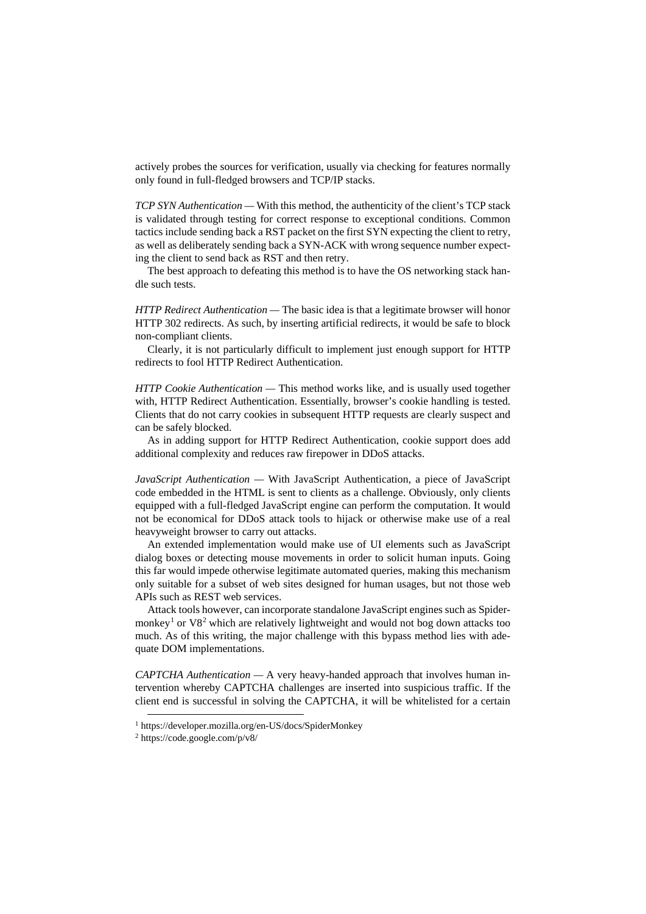actively probes the sources for verification, usually via checking for features normally only found in full-fledged browsers and TCP/IP stacks.

*TCP SYN Authentication* — With this method, the authenticity of the client's TCP stack is validated through testing for correct response to exceptional conditions. Common tactics include sending back a RST packet on the first SYN expecting the client to retry, as well as deliberately sending back a SYN-ACK with wrong sequence number expecting the client to send back as RST and then retry.

The best approach to defeating this method is to have the OS networking stack handle such tests.

*HTTP Redirect Authentication —* The basic idea is that a legitimate browser will honor HTTP 302 redirects. As such, by inserting artificial redirects, it would be safe to block non-compliant clients.

Clearly, it is not particularly difficult to implement just enough support for HTTP redirects to fool HTTP Redirect Authentication.

*HTTP Cookie Authentication —* This method works like, and is usually used together with, HTTP Redirect Authentication. Essentially, browser's cookie handling is tested. Clients that do not carry cookies in subsequent HTTP requests are clearly suspect and can be safely blocked.

As in adding support for HTTP Redirect Authentication, cookie support does add additional complexity and reduces raw firepower in DDoS attacks.

*JavaScript Authentication —* With JavaScript Authentication, a piece of JavaScript code embedded in the HTML is sent to clients as a challenge. Obviously, only clients equipped with a full-fledged JavaScript engine can perform the computation. It would not be economical for DDoS attack tools to hijack or otherwise make use of a real heavyweight browser to carry out attacks.

An extended implementation would make use of UI elements such as JavaScript dialog boxes or detecting mouse movements in order to solicit human inputs. Going this far would impede otherwise legitimate automated queries, making this mechanism only suitable for a subset of web sites designed for human usages, but not those web APIs such as REST web services.

Attack tools however, can incorporate standalone JavaScript engines such as Spider-monkey<sup>[1](#page-7-0)</sup> or V8<sup>[2](#page-7-1)</sup> which are relatively lightweight and would not bog down attacks too much. As of this writing, the major challenge with this bypass method lies with adequate DOM implementations.

*CAPTCHA Authentication —* A very heavy-handed approach that involves human intervention whereby CAPTCHA challenges are inserted into suspicious traffic. If the client end is successful in solving the CAPTCHA, it will be whitelisted for a certain

-

<sup>1</sup> <https://developer.mozilla.org/en-US/docs/SpiderMonkey>

<span id="page-7-1"></span><span id="page-7-0"></span><sup>2</sup> <https://code.google.com/p/v8/>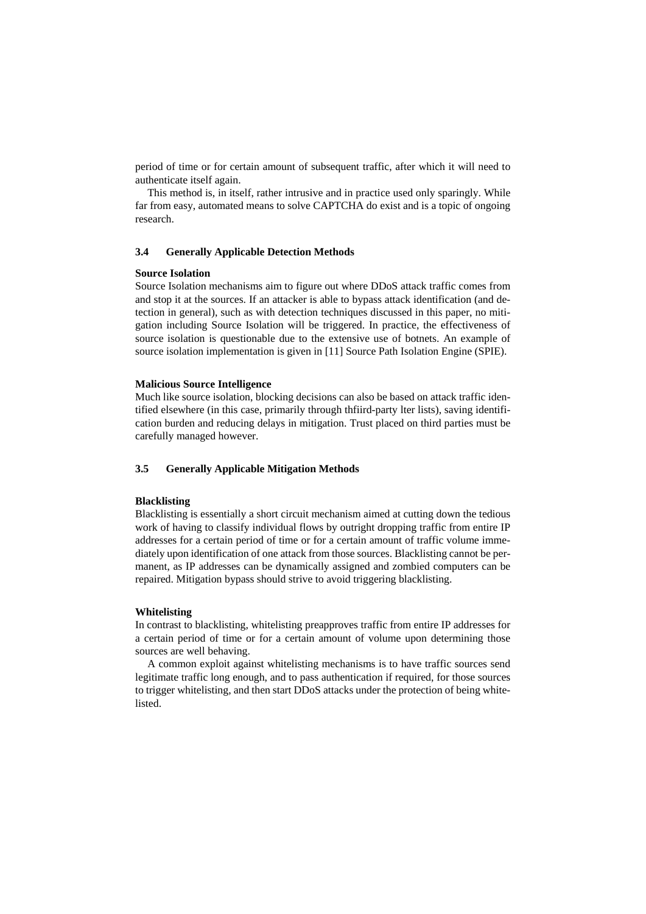period of time or for certain amount of subsequent traffic, after which it will need to authenticate itself again.

This method is, in itself, rather intrusive and in practice used only sparingly. While far from easy, automated means to solve CAPTCHA do exist and is a topic of ongoing research.

# **3.4 Generally Applicable Detection Methods**

### **Source Isolation**

Source Isolation mechanisms aim to figure out where DDoS attack traffic comes from and stop it at the sources. If an attacker is able to bypass attack identification (and detection in general), such as with detection techniques discussed in this paper, no mitigation including Source Isolation will be triggered. In practice, the effectiveness of source isolation is questionable due to the extensive use of botnets. An example of source isolation implementation is given in [11] Source Path Isolation Engine (SPIE).

## **Malicious Source Intelligence**

Much like source isolation, blocking decisions can also be based on attack traffic identified elsewhere (in this case, primarily through thfiird-party lter lists), saving identification burden and reducing delays in mitigation. Trust placed on third parties must be carefully managed however.

# **3.5 Generally Applicable Mitigation Methods**

### **Blacklisting**

Blacklisting is essentially a short circuit mechanism aimed at cutting down the tedious work of having to classify individual flows by outright dropping traffic from entire IP addresses for a certain period of time or for a certain amount of traffic volume immediately upon identification of one attack from those sources. Blacklisting cannot be permanent, as IP addresses can be dynamically assigned and zombied computers can be repaired. Mitigation bypass should strive to avoid triggering blacklisting.

# **Whitelisting**

In contrast to blacklisting, whitelisting preapproves traffic from entire IP addresses for a certain period of time or for a certain amount of volume upon determining those sources are well behaving.

A common exploit against whitelisting mechanisms is to have traffic sources send legitimate traffic long enough, and to pass authentication if required, for those sources to trigger whitelisting, and then start DDoS attacks under the protection of being whitelisted.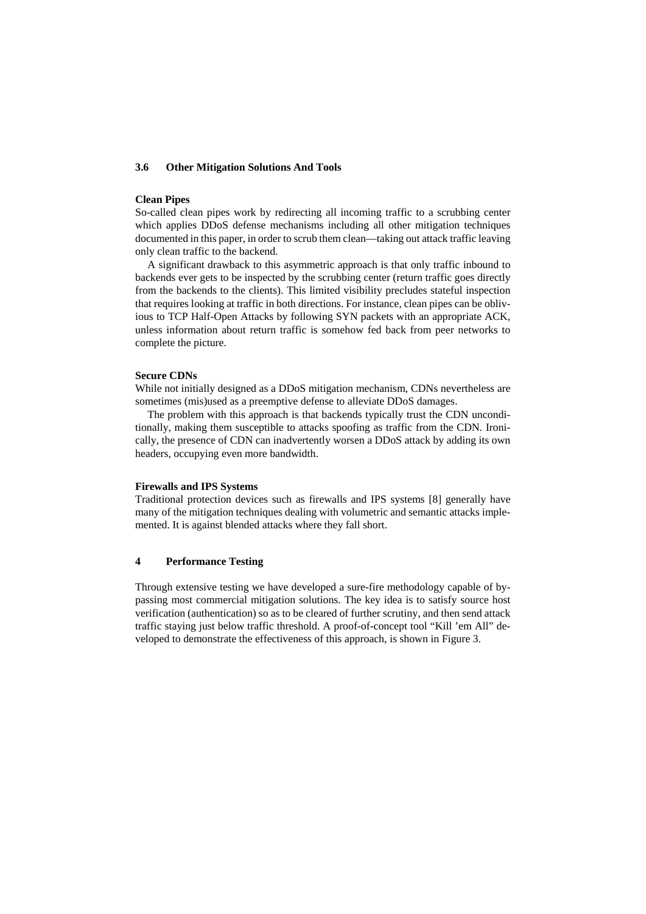# **3.6 Other Mitigation Solutions And Tools**

## **Clean Pipes**

So-called clean pipes work by redirecting all incoming traffic to a scrubbing center which applies DDoS defense mechanisms including all other mitigation techniques documented in this paper, in order to scrub them clean—taking out attack traffic leaving only clean traffic to the backend.

A significant drawback to this asymmetric approach is that only traffic inbound to backends ever gets to be inspected by the scrubbing center (return traffic goes directly from the backends to the clients). This limited visibility precludes stateful inspection that requires looking at traffic in both directions. For instance, clean pipes can be oblivious to TCP Half-Open Attacks by following SYN packets with an appropriate ACK, unless information about return traffic is somehow fed back from peer networks to complete the picture.

# **Secure CDNs**

While not initially designed as a DDoS mitigation mechanism, CDNs nevertheless are sometimes (mis)used as a preemptive defense to alleviate DDoS damages.

The problem with this approach is that backends typically trust the CDN unconditionally, making them susceptible to attacks spoofing as traffic from the CDN. Ironically, the presence of CDN can inadvertently worsen a DDoS attack by adding its own headers, occupying even more bandwidth.

## **Firewalls and IPS Systems**

Traditional protection devices such as firewalls and IPS systems [8] generally have many of the mitigation techniques dealing with volumetric and semantic attacks implemented. It is against blended attacks where they fall short.

# **4 Performance Testing**

Through extensive testing we have developed a sure-fire methodology capable of bypassing most commercial mitigation solutions. The key idea is to satisfy source host verification (authentication) so as to be cleared of further scrutiny, and then send attack traffic staying just below traffic threshold. A proof-of-concept tool "Kill 'em All" developed to demonstrate the effectiveness of this approach, is shown in [Figure 3.](#page-10-0)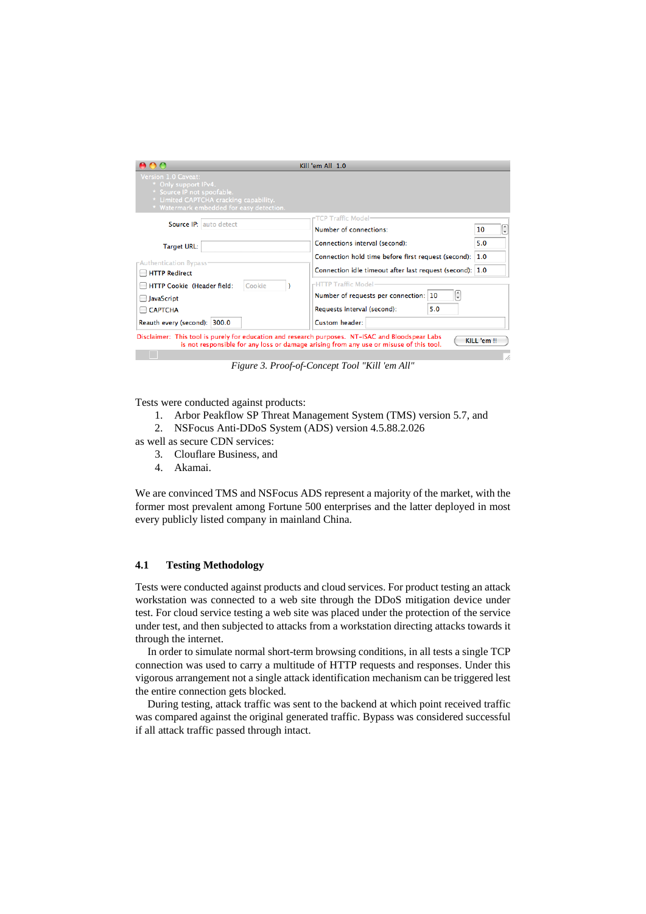| Version 1.0 Caveat:<br>* Only support IPv4.<br>* Source IP not spoofable.<br>* Limited CAPTCHA cracking capability.<br>* Watermark embedded for easy detection. | Kill 'em All 1.0                                                                                                                                           |  |  |  |
|-----------------------------------------------------------------------------------------------------------------------------------------------------------------|------------------------------------------------------------------------------------------------------------------------------------------------------------|--|--|--|
| <b>Source IP:</b> auto detect<br><b>Target URL:</b>                                                                                                             | TCP Traffic Model-<br>÷<br>Number of connections:<br>10<br>Connections interval (second):<br>5.0                                                           |  |  |  |
| <b>FAuthentication Bypass-</b><br><b>HTTP Redirect</b>                                                                                                          | Connection hold time before first request (second):<br>1.0<br>Connection idle timeout after last request (second): 1.0<br>rHTTP Traffic Model <sup>.</sup> |  |  |  |
| HTTP Cookie (Header field:<br>Cookie<br><b>JavaScript</b><br><b>CAPTCHA</b><br>Reauth every (second): 300.0                                                     | ¢<br>Number of requests per connection: 10<br>5.0<br>Requests interval (second):<br>Custom header:                                                         |  |  |  |

*Figure 3. Proof-of-Concept Tool "Kill 'em All"*

<span id="page-10-0"></span>Tests were conducted against products:

- 1. Arbor Peakflow SP Threat Management System (TMS) version 5.7, and
- 2. NSFocus Anti-DDoS System (ADS) version 4.5.88.2.026

as well as secure CDN services:

- 3. Clouflare Business, and
- 4. Akamai.

We are convinced TMS and NSFocus ADS represent a majority of the market, with the former most prevalent among Fortune 500 enterprises and the latter deployed in most every publicly listed company in mainland China.

# **4.1 Testing Methodology**

Tests were conducted against products and cloud services. For product testing an attack workstation was connected to a web site through the DDoS mitigation device under test. For cloud service testing a web site was placed under the protection of the service under test, and then subjected to attacks from a workstation directing attacks towards it through the internet.

In order to simulate normal short-term browsing conditions, in all tests a single TCP connection was used to carry a multitude of HTTP requests and responses. Under this vigorous arrangement not a single attack identification mechanism can be triggered lest the entire connection gets blocked.

During testing, attack traffic was sent to the backend at which point received traffic was compared against the original generated traffic. Bypass was considered successful if all attack traffic passed through intact.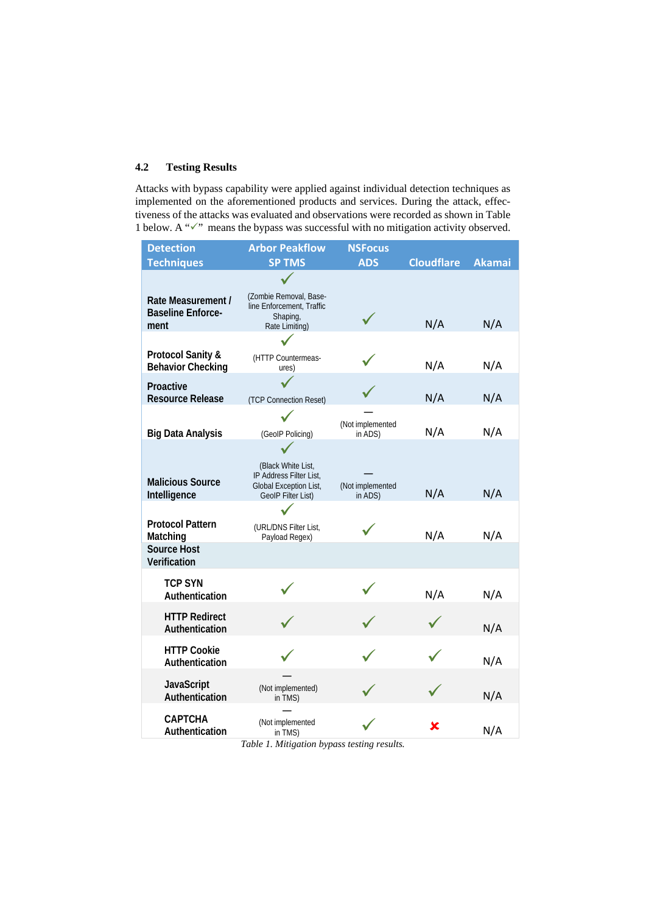# **4.2 Testing Results**

Attacks with bypass capability were applied against individual detection techniques as implemented on the aforementioned products and services. During the attack, effectiveness of the attacks was evaluated and observations were recorded as shown in [Table](#page-11-0)  [1](#page-11-0) below. A " $\checkmark$ " means the bypass was successful with no mitigation activity observed.

| <b>Detection</b>                                         | <b>Arbor Peakflow</b>                                                                         | <b>NSFocus</b>              |                   |               |
|----------------------------------------------------------|-----------------------------------------------------------------------------------------------|-----------------------------|-------------------|---------------|
| <b>Techniques</b>                                        | <b>SP TMS</b>                                                                                 | <b>ADS</b>                  | <b>Cloudflare</b> | <b>Akamai</b> |
| Rate Measurement /<br><b>Baseline Enforce-</b><br>ment   | (Zombie Removal, Base-<br>line Enforcement, Traffic<br>Shaping,<br>Rate Limiting)             |                             | N/A               | N/A           |
|                                                          |                                                                                               |                             |                   |               |
| <b>Protocol Sanity &amp;</b><br><b>Behavior Checking</b> | (HTTP Countermeas-<br>ures)                                                                   |                             | N/A               | N/A           |
| Proactive<br><b>Resource Release</b>                     | (TCP Connection Reset)                                                                        |                             | N/A               | N/A           |
| <b>Big Data Analysis</b>                                 | (GeoIP Policing)                                                                              | (Not implemented<br>in ADS) | N/A               | N/A           |
| <b>Malicious Source</b><br>Intelligence                  | (Black White List,<br>IP Address Filter List.<br>Global Exception List,<br>GeoIP Filter List) | (Not implemented<br>in ADS) | N/A               | N/A           |
| <b>Protocol Pattern</b><br>Matching                      | (URL/DNS Filter List,<br>Payload Regex)                                                       |                             | N/A               | N/A           |
| <b>Source Host</b><br>Verification                       |                                                                                               |                             |                   |               |
| <b>TCP SYN</b><br>Authentication                         |                                                                                               |                             | N/A               | N/A           |
| <b>HTTP Redirect</b><br>Authentication                   |                                                                                               |                             |                   | N/A           |
| <b>HTTP Cookie</b><br>Authentication                     |                                                                                               |                             |                   | N/A           |
| JavaScript<br>Authentication                             | (Not implemented)<br>in TMS)                                                                  |                             |                   | N/A           |
| <b>CAPTCHA</b><br>Authentication                         | (Not implemented<br>in TMS)                                                                   |                             | х                 | N/A           |

<span id="page-11-0"></span>*Table 1. Mitigation bypass testing results.*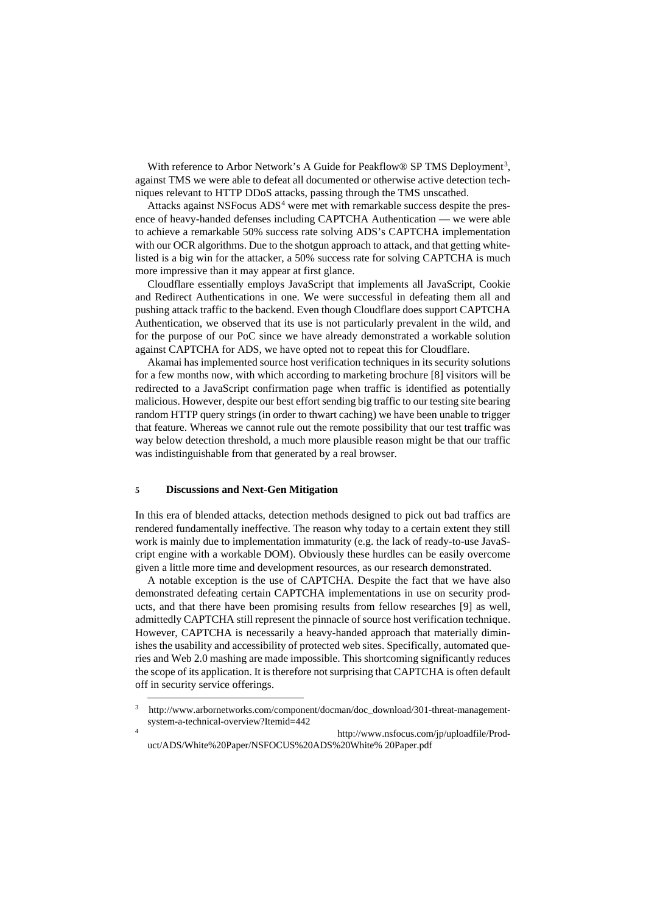With reference to Arbor Network's A Guide for Peakflow® SP TMS Deployment<sup>[3](#page-12-0)</sup>, against TMS we were able to defeat all documented or otherwise active detection techniques relevant to HTTP DDoS attacks, passing through the TMS unscathed.

Attacks against NSFocus ADS<sup>[4](#page-12-1)</sup> were met with remarkable success despite the presence of heavy-handed defenses including CAPTCHA Authentication — we were able to achieve a remarkable 50% success rate solving ADS's CAPTCHA implementation with our OCR algorithms. Due to the shotgun approach to attack, and that getting whitelisted is a big win for the attacker, a 50% success rate for solving CAPTCHA is much more impressive than it may appear at first glance.

Cloudflare essentially employs JavaScript that implements all JavaScript, Cookie and Redirect Authentications in one. We were successful in defeating them all and pushing attack traffic to the backend. Even though Cloudflare does support CAPTCHA Authentication, we observed that its use is not particularly prevalent in the wild, and for the purpose of our PoC since we have already demonstrated a workable solution against CAPTCHA for ADS, we have opted not to repeat this for Cloudflare.

Akamai has implemented source host verification techniques in its security solutions for a few months now, with which according to marketing brochure [8] visitors will be redirected to a JavaScript confirmation page when traffic is identified as potentially malicious. However, despite our best effort sending big traffic to our testing site bearing random HTTP query strings (in order to thwart caching) we have been unable to trigger that feature. Whereas we cannot rule out the remote possibility that our test traffic was way below detection threshold, a much more plausible reason might be that our traffic was indistinguishable from that generated by a real browser.

#### **5 Discussions and Next-Gen Mitigation**

-

In this era of blended attacks, detection methods designed to pick out bad traffics are rendered fundamentally ineffective. The reason why today to a certain extent they still work is mainly due to implementation immaturity (e.g. the lack of ready-to-use JavaScript engine with a workable DOM). Obviously these hurdles can be easily overcome given a little more time and development resources, as our research demonstrated.

A notable exception is the use of CAPTCHA. Despite the fact that we have also demonstrated defeating certain CAPTCHA implementations in use on security products, and that there have been promising results from fellow researches [9] as well, admittedly CAPTCHA still represent the pinnacle of source host verification technique. However, CAPTCHA is necessarily a heavy-handed approach that materially diminishes the usability and accessibility of protected web sites. Specifically, automated queries and Web 2.0 mashing are made impossible. This shortcoming significantly reduces the scope of its application. It is therefore not surprising that CAPTCHA is often default off in security service offerings.

<span id="page-12-0"></span><sup>3</sup> http://www.arbornetworks.com/component/docman/doc\_download/301-threat-managementsystem-a-technical-overview?Itemid=442

<span id="page-12-1"></span><sup>4</sup> [http://www.nsfocus.com/jp/uploadfile/Prod](http://www.nsfocus.com/jp/uploadfile/Product/ADS/White%20Paper/NSFOCUS%20ADS%20White%25)[uct/ADS/White%20Paper/NSFOCUS%20ADS%20White%](http://www.nsfocus.com/jp/uploadfile/Product/ADS/White%20Paper/NSFOCUS%20ADS%20White%25) 20Paper.pdf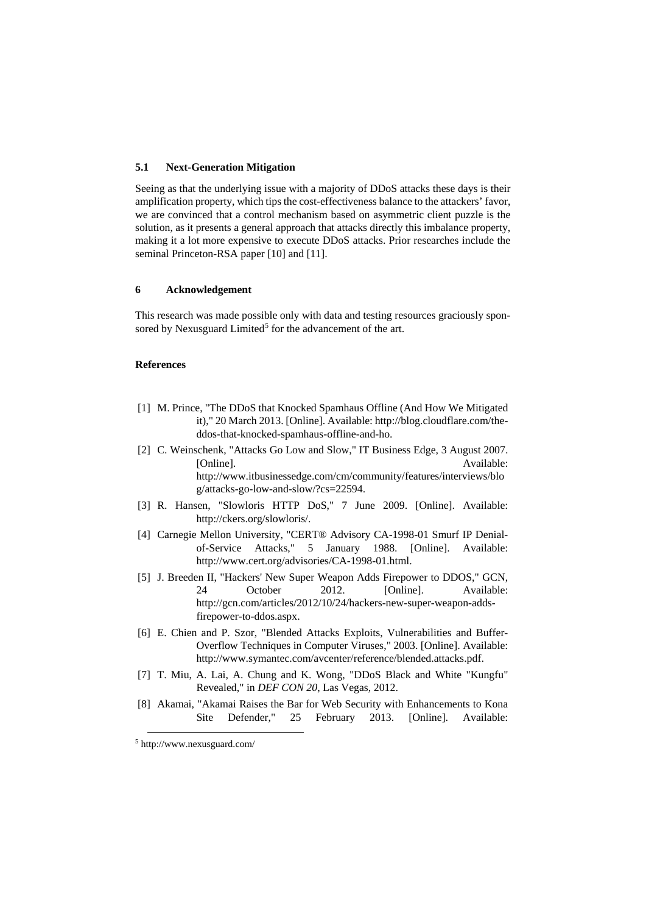# **5.1 Next-Generation Mitigation**

Seeing as that the underlying issue with a majority of DDoS attacks these days is their amplification property, which tips the cost-effectiveness balance to the attackers' favor, we are convinced that a control mechanism based on asymmetric client puzzle is the solution, as it presents a general approach that attacks directly this imbalance property, making it a lot more expensive to execute DDoS attacks. Prior researches include the seminal Princeton-RSA paper [10] and [11].

# **6 Acknowledgement**

This research was made possible only with data and testing resources graciously spon-sored by Nexusguard Limited<sup>[5](#page-13-0)</sup> for the advancement of the art.

## **References**

- [1] M. Prince, "The DDoS that Knocked Spamhaus Offline (And How We Mitigated it)," 20 March 2013. [Online]. Available: http://blog.cloudflare.com/theddos-that-knocked-spamhaus-offline-and-ho.
- [2] C. Weinschenk, "Attacks Go Low and Slow," IT Business Edge, 3 August 2007. [Online]. Available: http://www.itbusinessedge.com/cm/community/features/interviews/blo g/attacks-go-low-and-slow/?cs=22594.
- [3] R. Hansen, "Slowloris HTTP DoS," 7 June 2009. [Online]. Available: http://ckers.org/slowloris/.
- [4] Carnegie Mellon University, "CERT® Advisory CA-1998-01 Smurf IP Denialof-Service Attacks," 5 January 1988. [Online]. Available: http://www.cert.org/advisories/CA-1998-01.html.
- [5] J. Breeden II, "Hackers' New Super Weapon Adds Firepower to DDOS," GCN, 24 October 2012. [Online]. Available: http://gcn.com/articles/2012/10/24/hackers-new-super-weapon-addsfirepower-to-ddos.aspx.
- [6] E. Chien and P. Szor, "Blended Attacks Exploits, Vulnerabilities and Buffer-Overflow Techniques in Computer Viruses," 2003. [Online]. Available: http://www.symantec.com/avcenter/reference/blended.attacks.pdf.
- [7] T. Miu, A. Lai, A. Chung and K. Wong, "DDoS Black and White "Kungfu" Revealed," in *DEF CON 20*, Las Vegas, 2012.
- [8] Akamai, "Akamai Raises the Bar for Web Security with Enhancements to Kona Site Defender," 25 February 2013. [Online]. Available:

-

<span id="page-13-0"></span><sup>5</sup> <http://www.nexusguard.com/>